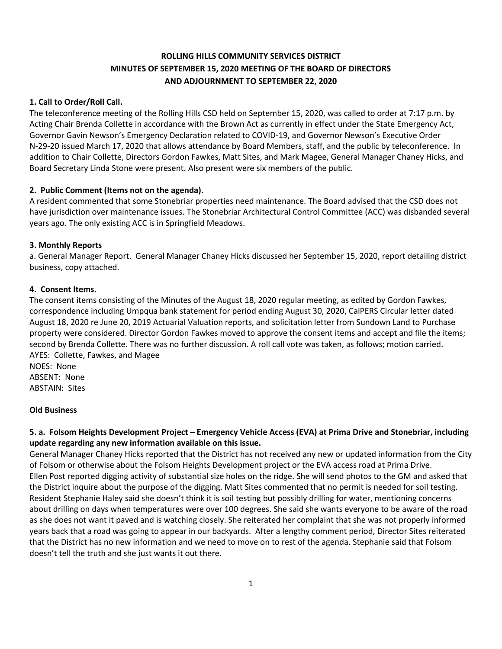## **ROLLING HILLS COMMUNITY SERVICES DISTRICT MINUTES OF SEPTEMBER 15, 2020 MEETING OF THE BOARD OF DIRECTORS AND ADJOURNMENT TO SEPTEMBER 22, 2020**

## **1. Call to Order/Roll Call.**

The teleconference meeting of the Rolling Hills CSD held on September 15, 2020, was called to order at 7:17 p.m. by Acting Chair Brenda Collette in accordance with the Brown Act as currently in effect under the State Emergency Act, Governor Gavin Newson's Emergency Declaration related to COVID-19, and Governor Newson's Executive Order N-29-20 issued March 17, 2020 that allows attendance by Board Members, staff, and the public by teleconference. In addition to Chair Collette, Directors Gordon Fawkes, Matt Sites, and Mark Magee, General Manager Chaney Hicks, and Board Secretary Linda Stone were present. Also present were six members of the public.

## **2. Public Comment (Items not on the agenda).**

A resident commented that some Stonebriar properties need maintenance. The Board advised that the CSD does not have jurisdiction over maintenance issues. The Stonebriar Architectural Control Committee (ACC) was disbanded several years ago. The only existing ACC is in Springfield Meadows.

## **3. Monthly Reports**

a. General Manager Report. General Manager Chaney Hicks discussed her September 15, 2020, report detailing district business, copy attached.

## **4. Consent Items.**

The consent items consisting of the Minutes of the August 18, 2020 regular meeting, as edited by Gordon Fawkes, correspondence including Umpqua bank statement for period ending August 30, 2020, CalPERS Circular letter dated August 18, 2020 re June 20, 2019 Actuarial Valuation reports, and solicitation letter from Sundown Land to Purchase property were considered. Director Gordon Fawkes moved to approve the consent items and accept and file the items; second by Brenda Collette. There was no further discussion. A roll call vote was taken, as follows; motion carried. AYES: Collette, Fawkes, and Magee

NOES: None ABSENT: None ABSTAIN: Sites

## **Old Business**

## **5. a. Folsom Heights Development Project – Emergency Vehicle Access (EVA) at Prima Drive and Stonebriar, including update regarding any new information available on this issue.**

General Manager Chaney Hicks reported that the District has not received any new or updated information from the City of Folsom or otherwise about the Folsom Heights Development project or the EVA access road at Prima Drive. Ellen Post reported digging activity of substantial size holes on the ridge. She will send photos to the GM and asked that the District inquire about the purpose of the digging. Matt Sites commented that no permit is needed for soil testing. Resident Stephanie Haley said she doesn't think it is soil testing but possibly drilling for water, mentioning concerns about drilling on days when temperatures were over 100 degrees. She said she wants everyone to be aware of the road as she does not want it paved and is watching closely. She reiterated her complaint that she was not properly informed years back that a road was going to appear in our backyards. After a lengthy comment period, Director Sites reiterated that the District has no new information and we need to move on to rest of the agenda. Stephanie said that Folsom doesn't tell the truth and she just wants it out there.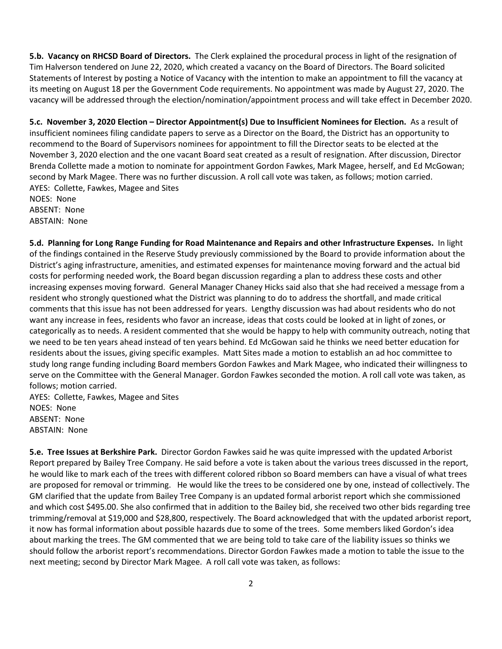**5.b. Vacancy on RHCSD Board of Directors.** The Clerk explained the procedural process in light of the resignation of Tim Halverson tendered on June 22, 2020, which created a vacancy on the Board of Directors. The Board solicited Statements of Interest by posting a Notice of Vacancy with the intention to make an appointment to fill the vacancy at its meeting on August 18 per the Government Code requirements. No appointment was made by August 27, 2020. The vacancy will be addressed through the election/nomination/appointment process and will take effect in December 2020.

**5.c. November 3, 2020 Election – Director Appointment(s) Due to Insufficient Nominees for Election.** As a result of insufficient nominees filing candidate papers to serve as a Director on the Board, the District has an opportunity to recommend to the Board of Supervisors nominees for appointment to fill the Director seats to be elected at the November 3, 2020 election and the one vacant Board seat created as a result of resignation. After discussion, Director Brenda Collette made a motion to nominate for appointment Gordon Fawkes, Mark Magee, herself, and Ed McGowan; second by Mark Magee. There was no further discussion. A roll call vote was taken, as follows; motion carried. AYES: Collette, Fawkes, Magee and Sites NOES: None

ABSENT: None ABSTAIN: None

**5.d. Planning for Long Range Funding for Road Maintenance and Repairs and other Infrastructure Expenses.** In light of the findings contained in the Reserve Study previously commissioned by the Board to provide information about the District's aging infrastructure, amenities, and estimated expenses for maintenance moving forward and the actual bid costs for performing needed work, the Board began discussion regarding a plan to address these costs and other increasing expenses moving forward. General Manager Chaney Hicks said also that she had received a message from a resident who strongly questioned what the District was planning to do to address the shortfall, and made critical comments that this issue has not been addressed for years. Lengthy discussion was had about residents who do not want any increase in fees, residents who favor an increase, ideas that costs could be looked at in light of zones, or categorically as to needs. A resident commented that she would be happy to help with community outreach, noting that we need to be ten years ahead instead of ten years behind. Ed McGowan said he thinks we need better education for residents about the issues, giving specific examples. Matt Sites made a motion to establish an ad hoc committee to study long range funding including Board members Gordon Fawkes and Mark Magee, who indicated their willingness to serve on the Committee with the General Manager. Gordon Fawkes seconded the motion. A roll call vote was taken, as follows; motion carried.

AYES: Collette, Fawkes, Magee and Sites NOES: None ABSENT: None ABSTAIN: None

**5.e. Tree Issues at Berkshire Park.** Director Gordon Fawkes said he was quite impressed with the updated Arborist Report prepared by Bailey Tree Company. He said before a vote is taken about the various trees discussed in the report, he would like to mark each of the trees with different colored ribbon so Board members can have a visual of what trees are proposed for removal or trimming. He would like the trees to be considered one by one, instead of collectively. The GM clarified that the update from Bailey Tree Company is an updated formal arborist report which she commissioned and which cost \$495.00. She also confirmed that in addition to the Bailey bid, she received two other bids regarding tree trimming/removal at \$19,000 and \$28,800, respectively. The Board acknowledged that with the updated arborist report, it now has formal information about possible hazards due to some of the trees. Some members liked Gordon's idea about marking the trees. The GM commented that we are being told to take care of the liability issues so thinks we should follow the arborist report's recommendations. Director Gordon Fawkes made a motion to table the issue to the next meeting; second by Director Mark Magee. A roll call vote was taken, as follows: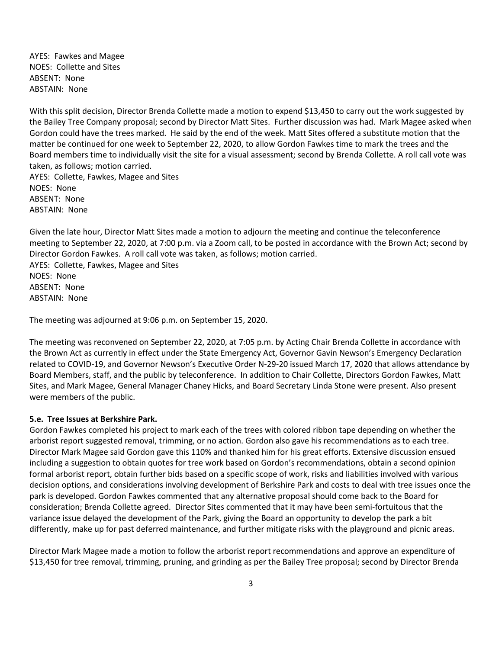AYES: Fawkes and Magee NOES: Collette and Sites ABSENT: None ABSTAIN: None

With this split decision, Director Brenda Collette made a motion to expend \$13,450 to carry out the work suggested by the Bailey Tree Company proposal; second by Director Matt Sites. Further discussion was had. Mark Magee asked when Gordon could have the trees marked. He said by the end of the week. Matt Sites offered a substitute motion that the matter be continued for one week to September 22, 2020, to allow Gordon Fawkes time to mark the trees and the Board members time to individually visit the site for a visual assessment; second by Brenda Collette. A roll call vote was taken, as follows; motion carried.

AYES: Collette, Fawkes, Magee and Sites NOES: None ABSENT: None ABSTAIN: None

Given the late hour, Director Matt Sites made a motion to adjourn the meeting and continue the teleconference meeting to September 22, 2020, at 7:00 p.m. via a Zoom call, to be posted in accordance with the Brown Act; second by Director Gordon Fawkes. A roll call vote was taken, as follows; motion carried. AYES: Collette, Fawkes, Magee and Sites NOES: None ABSENT: None ABSTAIN: None

The meeting was adjourned at 9:06 p.m. on September 15, 2020.

The meeting was reconvened on September 22, 2020, at 7:05 p.m. by Acting Chair Brenda Collette in accordance with the Brown Act as currently in effect under the State Emergency Act, Governor Gavin Newson's Emergency Declaration related to COVID-19, and Governor Newson's Executive Order N-29-20 issued March 17, 2020 that allows attendance by Board Members, staff, and the public by teleconference. In addition to Chair Collette, Directors Gordon Fawkes, Matt Sites, and Mark Magee, General Manager Chaney Hicks, and Board Secretary Linda Stone were present. Also present were members of the public.

#### **5.e. Tree Issues at Berkshire Park.**

Gordon Fawkes completed his project to mark each of the trees with colored ribbon tape depending on whether the arborist report suggested removal, trimming, or no action. Gordon also gave his recommendations as to each tree. Director Mark Magee said Gordon gave this 110% and thanked him for his great efforts. Extensive discussion ensued including a suggestion to obtain quotes for tree work based on Gordon's recommendations, obtain a second opinion formal arborist report, obtain further bids based on a specific scope of work, risks and liabilities involved with various decision options, and considerations involving development of Berkshire Park and costs to deal with tree issues once the park is developed. Gordon Fawkes commented that any alternative proposal should come back to the Board for consideration; Brenda Collette agreed. Director Sites commented that it may have been semi-fortuitous that the variance issue delayed the development of the Park, giving the Board an opportunity to develop the park a bit differently, make up for past deferred maintenance, and further mitigate risks with the playground and picnic areas.

Director Mark Magee made a motion to follow the arborist report recommendations and approve an expenditure of \$13,450 for tree removal, trimming, pruning, and grinding as per the Bailey Tree proposal; second by Director Brenda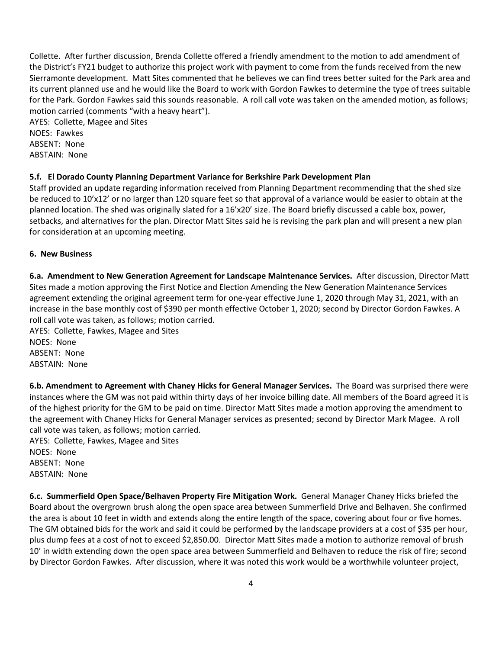Collette. After further discussion, Brenda Collette offered a friendly amendment to the motion to add amendment of the District's FY21 budget to authorize this project work with payment to come from the funds received from the new Sierramonte development. Matt Sites commented that he believes we can find trees better suited for the Park area and its current planned use and he would like the Board to work with Gordon Fawkes to determine the type of trees suitable for the Park. Gordon Fawkes said this sounds reasonable. A roll call vote was taken on the amended motion, as follows; motion carried (comments "with a heavy heart"). AYES: Collette, Magee and Sites

NOES: Fawkes ABSENT: None ABSTAIN: None

## **5.f. El Dorado County Planning Department Variance for Berkshire Park Development Plan**

Staff provided an update regarding information received from Planning Department recommending that the shed size be reduced to 10'x12' or no larger than 120 square feet so that approval of a variance would be easier to obtain at the planned location. The shed was originally slated for a 16'x20' size. The Board briefly discussed a cable box, power, setbacks, and alternatives for the plan. Director Matt Sites said he is revising the park plan and will present a new plan for consideration at an upcoming meeting.

## **6. New Business**

**6.a. Amendment to New Generation Agreement for Landscape Maintenance Services.** After discussion, Director Matt Sites made a motion approving the First Notice and Election Amending the New Generation Maintenance Services agreement extending the original agreement term for one-year effective June 1, 2020 through May 31, 2021, with an increase in the base monthly cost of \$390 per month effective October 1, 2020; second by Director Gordon Fawkes. A roll call vote was taken, as follows; motion carried.

AYES: Collette, Fawkes, Magee and Sites NOES: None ABSENT: None ABSTAIN: None

**6.b. Amendment to Agreement with Chaney Hicks for General Manager Services.** The Board was surprised there were instances where the GM was not paid within thirty days of her invoice billing date. All members of the Board agreed it is of the highest priority for the GM to be paid on time. Director Matt Sites made a motion approving the amendment to the agreement with Chaney Hicks for General Manager services as presented; second by Director Mark Magee. A roll call vote was taken, as follows; motion carried.

AYES: Collette, Fawkes, Magee and Sites NOES: None ABSENT: None ABSTAIN: None

**6.c. Summerfield Open Space/Belhaven Property Fire Mitigation Work.** General Manager Chaney Hicks briefed the Board about the overgrown brush along the open space area between Summerfield Drive and Belhaven. She confirmed the area is about 10 feet in width and extends along the entire length of the space, covering about four or five homes. The GM obtained bids for the work and said it could be performed by the landscape providers at a cost of \$35 per hour, plus dump fees at a cost of not to exceed \$2,850.00. Director Matt Sites made a motion to authorize removal of brush 10' in width extending down the open space area between Summerfield and Belhaven to reduce the risk of fire; second by Director Gordon Fawkes. After discussion, where it was noted this work would be a worthwhile volunteer project,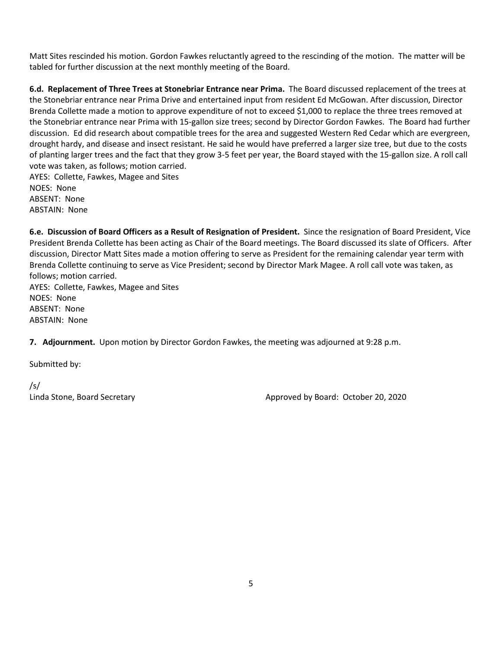Matt Sites rescinded his motion. Gordon Fawkes reluctantly agreed to the rescinding of the motion. The matter will be tabled for further discussion at the next monthly meeting of the Board.

**6.d. Replacement of Three Trees at Stonebriar Entrance near Prima.** The Board discussed replacement of the trees at the Stonebriar entrance near Prima Drive and entertained input from resident Ed McGowan. After discussion, Director Brenda Collette made a motion to approve expenditure of not to exceed \$1,000 to replace the three trees removed at the Stonebriar entrance near Prima with 15-gallon size trees; second by Director Gordon Fawkes. The Board had further discussion. Ed did research about compatible trees for the area and suggested Western Red Cedar which are evergreen, drought hardy, and disease and insect resistant. He said he would have preferred a larger size tree, but due to the costs of planting larger trees and the fact that they grow 3-5 feet per year, the Board stayed with the 15-gallon size. A roll call vote was taken, as follows; motion carried.

AYES: Collette, Fawkes, Magee and Sites NOES: None ABSENT: None ABSTAIN: None

**6.e. Discussion of Board Officers as a Result of Resignation of President.** Since the resignation of Board President, Vice President Brenda Collette has been acting as Chair of the Board meetings. The Board discussed its slate of Officers. After discussion, Director Matt Sites made a motion offering to serve as President for the remaining calendar year term with Brenda Collette continuing to serve as Vice President; second by Director Mark Magee. A roll call vote was taken, as follows; motion carried.

AYES: Collette, Fawkes, Magee and Sites NOES: None ABSENT: None ABSTAIN: None

**7. Adjournment.** Upon motion by Director Gordon Fawkes, the meeting was adjourned at 9:28 p.m.

Submitted by:

/s/

Linda Stone, Board Secretary **Approved by Board: October 20, 2020**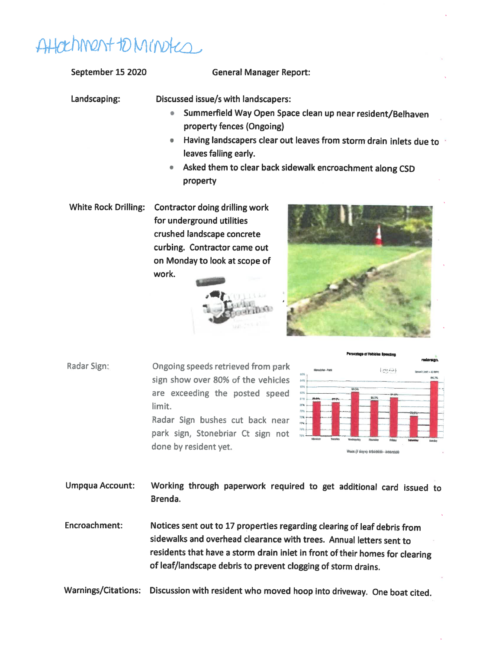# Attachment to Minotes

September 15 2020 **General Manager Report:** Landscaping: Discussed issue/s with landscapers: • Summerfield Way Open Space clean up near resident/Belhaven property fences (Ongoing) • Having landscapers clear out leaves from storm drain inlets due to leaves falling early. • Asked them to clear back sidewalk encroachment along CSD property White Rock Drilling: Contractor doing drilling work for underground utilities crushed landscape concrete curbing. Contractor came out on Monday to look at scope of work. **Percentage of Vehic** Radar Sign: Ongoing speeds retrieved from park  $\left\{ \begin{smallmatrix} 0 & 0 & 0 & 0 \\ 0 & 0 & 0 & 0 \\ 0 & 0 & 0 & 0 \\ 0 & 0 & 0 & 0 \\ 0 & 0 & 0 & 0 \\ 0 & 0 & 0 & 0 \\ 0 & 0 & 0 & 0 \\ 0 & 0 & 0 & 0 \\ 0 & 0 & 0 & 0 \\ 0 & 0 & 0 & 0 \\ 0 & 0 & 0 & 0 & 0 \\ 0 & 0 & 0 & 0 & 0 \\ 0 & 0 & 0 & 0 & 0 \\ 0 & 0 & 0 & 0 & 0 \\ 0 & 0 & 0 & 0 & 0 \\ 0 & 0 & 0 & 0 & 0 &$ sign show over 80% of the vehicles

are exceeding the posted speed limit. Radar Sign bushes cut back near park sign, Stonebriar Ct sign not done by resident yet.



Umpqua Account: Working through paperwork required to get additional card issued to Brenda.

Encroachment: Notices sent out to 17 properties regarding clearing of leaf debris from sidewalks and overhead clearance with trees. Annual letters sent to residents that have a storm drain inlet in front of their homes for clearing of leaf/landscape debris to prevent clogging of storm drains.

Warnings/Citations: Discussion with resident who moved hoop into driveway. One boat cited.